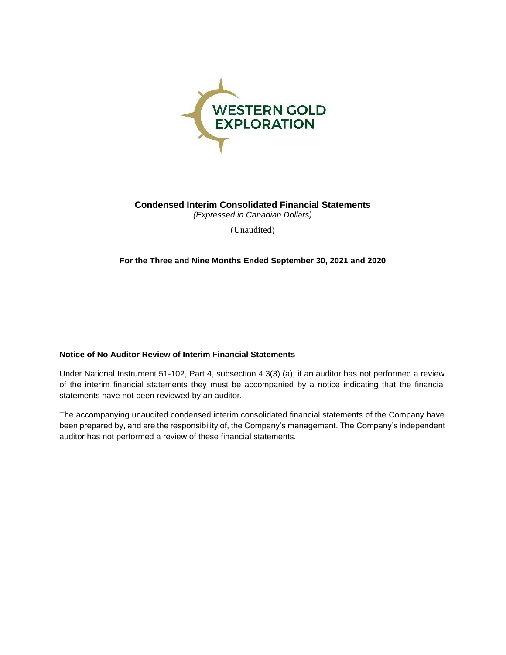

**Condensed Interim Consolidated Financial Statements** *(Expressed in Canadian Dollars)*

(Unaudited)

**For the Three and Nine Months Ended September 30, 2021 and 2020**

## **Notice of No Auditor Review of Interim Financial Statements**

Under National Instrument 51-102, Part 4, subsection 4.3(3) (a), if an auditor has not performed a review of the interim financial statements they must be accompanied by a notice indicating that the financial statements have not been reviewed by an auditor.

The accompanying unaudited condensed interim consolidated financial statements of the Company have been prepared by, and are the responsibility of, the Company's management. The Company's independent auditor has not performed a review of these financial statements.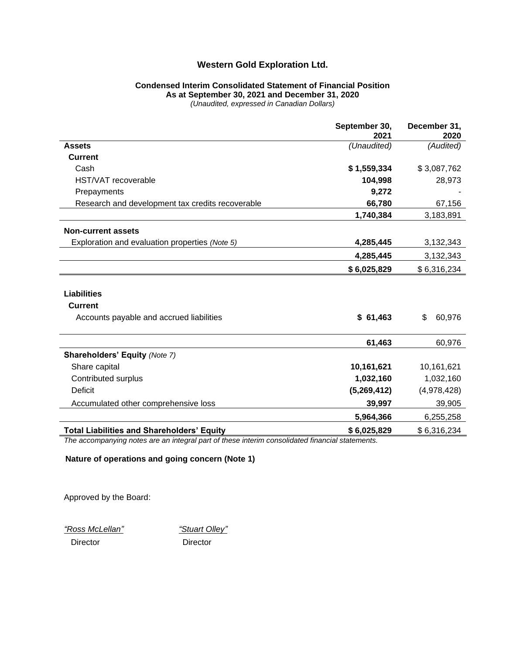## **Condensed Interim Consolidated Statement of Financial Position As at September 30, 2021 and December 31, 2020**

*(Unaudited, expressed in Canadian Dollars)*

|                                                   | September 30,<br>2021 | December 31,<br>2020 |
|---------------------------------------------------|-----------------------|----------------------|
| <b>Assets</b>                                     | (Unaudited)           | (Audited)            |
| <b>Current</b>                                    |                       |                      |
| Cash                                              | \$1,559,334           | \$3,087,762          |
| HST/VAT recoverable                               | 104,998               | 28,973               |
| Prepayments                                       | 9,272                 |                      |
| Research and development tax credits recoverable  | 66,780                | 67,156               |
|                                                   | 1,740,384             | 3,183,891            |
| <b>Non-current assets</b>                         |                       |                      |
| Exploration and evaluation properties (Note 5)    | 4,285,445             | 3,132,343            |
|                                                   | 4,285,445             | 3,132,343            |
|                                                   | \$6,025,829           | \$6,316,234          |
| <b>Liabilities</b>                                |                       |                      |
| <b>Current</b>                                    |                       |                      |
| Accounts payable and accrued liabilities          | \$61,463              | \$<br>60,976         |
|                                                   | 61,463                | 60,976               |
| <b>Shareholders' Equity (Note 7)</b>              |                       |                      |
| Share capital                                     | 10,161,621            | 10,161,621           |
| Contributed surplus                               | 1,032,160             | 1,032,160            |
| <b>Deficit</b>                                    | (5,269,412)           | (4,978,428)          |
| Accumulated other comprehensive loss              | 39,997                | 39,905               |
|                                                   | 5,964,366             | 6,255,258            |
| <b>Total Liabilities and Shareholders' Equity</b> | \$6,025,829           | \$6,316,234          |

*The accompanying notes are an integral part of these interim consolidated financial statements.*

**Nature of operations and going concern (Note 1)**

Approved by the Board:

*"Ross McLellan" "Stuart Olley"*

Director Director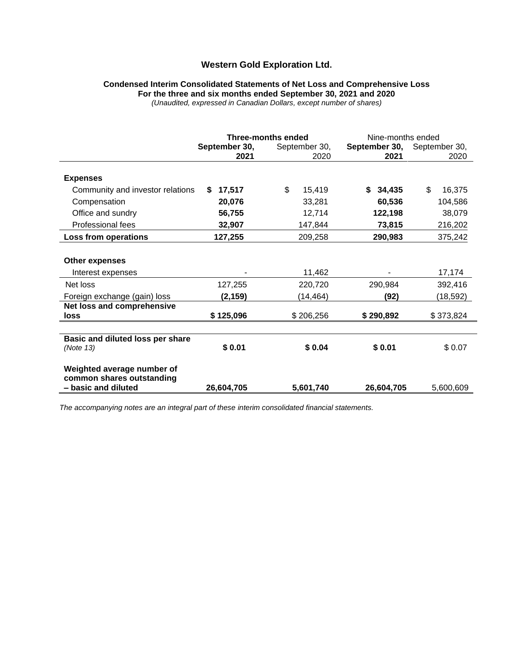# **Condensed Interim Consolidated Statements of Net Loss and Comprehensive Loss For the three and six months ended September 30, 2021 and 2020**

*(Unaudited, expressed in Canadian Dollars, except number of shares)*

|                                                         | <b>Three-months ended</b> |               | Nine-months ended |               |  |
|---------------------------------------------------------|---------------------------|---------------|-------------------|---------------|--|
|                                                         | September 30,             | September 30, | September 30,     | September 30, |  |
|                                                         | 2021                      | 2020          | 2021              | 2020          |  |
| <b>Expenses</b>                                         |                           |               |                   |               |  |
| Community and investor relations                        | 17,517<br>S.              | \$<br>15,419  | S.<br>34,435      | \$<br>16,375  |  |
| Compensation                                            | 20,076                    | 33,281        | 60,536            | 104,586       |  |
| Office and sundry                                       | 56,755                    | 12,714        | 122,198           | 38,079        |  |
| Professional fees                                       | 32,907                    | 147,844       | 73,815            | 216,202       |  |
| Loss from operations                                    | 127,255                   | 209,258       | 290,983           | 375,242       |  |
|                                                         |                           |               |                   |               |  |
| <b>Other expenses</b>                                   |                           |               |                   |               |  |
| Interest expenses                                       |                           | 11,462        |                   | 17,174        |  |
| Net loss                                                | 127,255                   | 220,720       | 290,984           | 392,416       |  |
| Foreign exchange (gain) loss                            | (2, 159)                  | (14,464)      | (92)              | (18,592)      |  |
| Net loss and comprehensive                              |                           |               |                   |               |  |
| loss                                                    | \$125,096                 | \$206,256     | \$290,892         | \$373,824     |  |
|                                                         |                           |               |                   |               |  |
| Basic and diluted loss per share                        |                           |               |                   |               |  |
| (Note 13)                                               | \$0.01                    | \$0.04        | \$0.01            | \$0.07        |  |
| Weighted average number of<br>common shares outstanding |                           |               |                   |               |  |
| - basic and diluted                                     | 26,604,705                | 5,601,740     | 26,604,705        | 5,600,609     |  |

*The accompanying notes are an integral part of these interim consolidated financial statements.*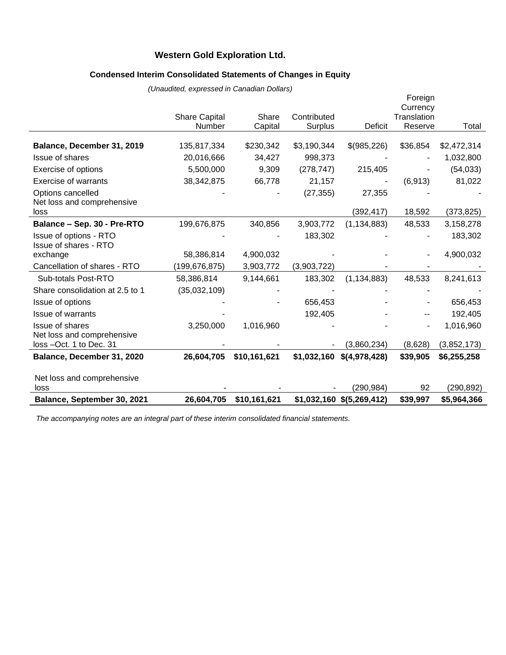# **Condensed Interim Consolidated Statements of Changes in Equity**

|                                                        | (0.68)<br><b>Share Capital</b> | Share        | Contributed    |                                           | Foreign<br>Currency<br>Translation |                           |
|--------------------------------------------------------|--------------------------------|--------------|----------------|-------------------------------------------|------------------------------------|---------------------------|
|                                                        | Number                         | Capital      | <b>Surplus</b> | <b>Deficit</b>                            | Reserve                            | Total                     |
| Balance, December 31, 2019                             | 135,817,334                    | \$230,342    | \$3,190,344    | \$(985,226)                               | \$36,854                           | \$2,472,314               |
| Issue of shares                                        | 20,016,666                     | 34,427       | 998,373        |                                           |                                    | 1,032,800                 |
| Exercise of options                                    | 5,500,000                      | 9,309        | (278, 747)     | 215,405                                   |                                    | (54,033)                  |
| <b>Exercise of warrants</b>                            | 38,342,875                     | 66,778       | 21,157         |                                           | (6, 913)                           | 81,022                    |
| Options cancelled                                      |                                |              | (27, 355)      | 27,355                                    |                                    |                           |
| Net loss and comprehensive<br>loss                     |                                |              |                | (392, 417)                                | 18,592                             | (373,825)                 |
| Balance - Sep. 30 - Pre-RTO                            | 199,676,875                    | 340,856      | 3,903,772      | (1, 134, 883)                             | 48,533                             | 3,158,278                 |
| Issue of options - RTO<br><b>Issue of shares - RTO</b> |                                |              | 183,302        |                                           |                                    | 183,302                   |
| exchange                                               | 58,386,814                     | 4,900,032    |                |                                           |                                    | 4,900,032                 |
| Cancellation of shares - RTO                           | (199,676,875)                  | 3,903,772    | (3,903,722)    |                                           |                                    |                           |
| Sub-totals Post-RTO                                    | 58,386,814                     | 9,144,661    | 183,302        | (1, 134, 883)                             | 48,533                             | 8,241,613                 |
| Share consolidation at 2.5 to 1                        | (35,032,109)                   |              |                |                                           |                                    |                           |
| Issue of options                                       |                                |              | 656,453        |                                           |                                    | 656,453                   |
| <b>Issue of warrants</b>                               |                                |              | 192,405        |                                           |                                    | 192,405                   |
| Issue of shares                                        | 3,250,000                      | 1,016,960    |                |                                           |                                    | 1,016,960                 |
| Net loss and comprehensive                             |                                |              |                |                                           |                                    |                           |
| loss -Oct. 1 to Dec. 31                                |                                |              |                | (3,860,234)                               | (8,628)                            | (3,852,173)               |
| Balance, December 31, 2020                             | 26,604,705                     | \$10,161,621 |                | $$1,032,160$ $$ (4,978,428)$              | \$39,905                           | \$6,255,258               |
| Net loss and comprehensive                             |                                |              |                |                                           |                                    |                           |
| loss<br>Balance, September 30, 2021                    | 26,604,705                     | \$10,161,621 |                | (290, 984)<br>$$1,032,160$ $$(5,269,412)$ | 92<br>\$39,997                     | (290, 892)<br>\$5,964,366 |
|                                                        |                                |              |                |                                           |                                    |                           |

*(Unaudited, expressed in Canadian Dollars)*

*The accompanying notes are an integral part of these interim consolidated financial statements.*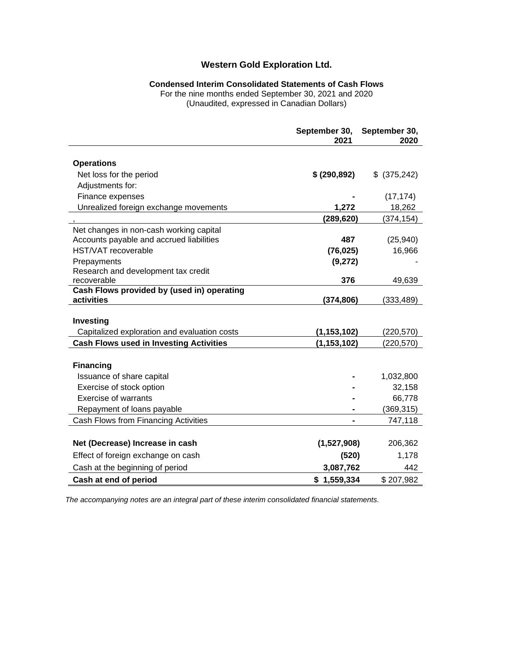# **Condensed Interim Consolidated Statements of Cash Flows**

For the nine months ended September 30, 2021 and 2020

(Unaudited, expressed in Canadian Dollars)

|                                                          | September 30,<br>2021 | September 30,<br>2020 |
|----------------------------------------------------------|-----------------------|-----------------------|
|                                                          |                       |                       |
| <b>Operations</b>                                        |                       |                       |
| Net loss for the period                                  | \$ (290, 892)         | \$ (375,242)          |
| Adjustments for:                                         |                       |                       |
| Finance expenses                                         |                       | (17, 174)             |
| Unrealized foreign exchange movements                    | 1,272                 | 18,262                |
|                                                          | (289, 620)            | (374,154)             |
| Net changes in non-cash working capital                  |                       |                       |
| Accounts payable and accrued liabilities                 | 487                   | (25, 940)             |
| <b>HST/VAT</b> recoverable                               | (76, 025)             | 16,966                |
| Prepayments                                              | (9,272)               |                       |
| Research and development tax credit                      |                       |                       |
| recoverable                                              | 376                   | 49,639                |
| Cash Flows provided by (used in) operating<br>activities | (374, 806)            | (333,489)             |
|                                                          |                       |                       |
| Investing                                                |                       |                       |
| Capitalized exploration and evaluation costs             | (1, 153, 102)         | (220, 570)            |
| <b>Cash Flows used in Investing Activities</b>           | (1, 153, 102)         | (220, 570)            |
|                                                          |                       |                       |
| <b>Financing</b>                                         |                       |                       |
| Issuance of share capital                                |                       | 1,032,800             |
| Exercise of stock option                                 |                       | 32,158                |
| <b>Exercise of warrants</b>                              |                       | 66,778                |
| Repayment of loans payable                               |                       | (369,315)             |
| Cash Flows from Financing Activities                     |                       | 747,118               |
|                                                          |                       |                       |
| Net (Decrease) Increase in cash                          | (1,527,908)           | 206,362               |
| Effect of foreign exchange on cash                       | (520)                 | 1,178                 |
| Cash at the beginning of period                          | 3,087,762             | 442                   |
| Cash at end of period                                    | \$1,559,334           | \$207,982             |

*The accompanying notes are an integral part of these interim consolidated financial statements.*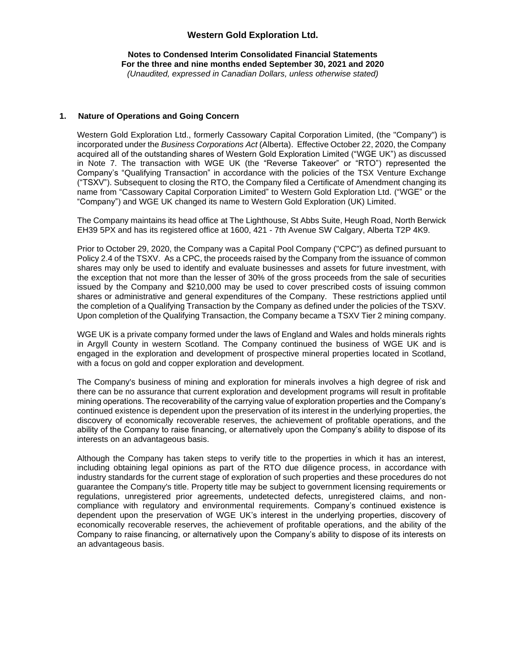#### **Notes to Condensed Interim Consolidated Financial Statements For the three and nine months ended September 30, 2021 and 2020** *(Unaudited, expressed in Canadian Dollars, unless otherwise stated)*

### **1. Nature of Operations and Going Concern**

Western Gold Exploration Ltd., formerly Cassowary Capital Corporation Limited, (the "Company") is incorporated under the *Business Corporations Act* (Alberta). Effective October 22, 2020, the Company acquired all of the outstanding shares of Western Gold Exploration Limited ("WGE UK") as discussed in Note 7. The transaction with WGE UK (the "Reverse Takeover" or "RTO") represented the Company's "Qualifying Transaction" in accordance with the policies of the TSX Venture Exchange ("TSXV"). Subsequent to closing the RTO, the Company filed a Certificate of Amendment changing its name from "Cassowary Capital Corporation Limited" to Western Gold Exploration Ltd. ("WGE" or the "Company") and WGE UK changed its name to Western Gold Exploration (UK) Limited.

The Company maintains its head office at The Lighthouse, St Abbs Suite, Heugh Road, North Berwick EH39 5PX and has its registered office at 1600, 421 - 7th Avenue SW Calgary, Alberta T2P 4K9.

Prior to October 29, 2020, the Company was a Capital Pool Company ("CPC") as defined pursuant to Policy 2.4 of the TSXV. As a CPC, the proceeds raised by the Company from the issuance of common shares may only be used to identify and evaluate businesses and assets for future investment, with the exception that not more than the lesser of 30% of the gross proceeds from the sale of securities issued by the Company and \$210,000 may be used to cover prescribed costs of issuing common shares or administrative and general expenditures of the Company. These restrictions applied until the completion of a Qualifying Transaction by the Company as defined under the policies of the TSXV. Upon completion of the Qualifying Transaction, the Company became a TSXV Tier 2 mining company.

WGE UK is a private company formed under the laws of England and Wales and holds minerals rights in Argyll County in western Scotland. The Company continued the business of WGE UK and is engaged in the exploration and development of prospective mineral properties located in Scotland, with a focus on gold and copper exploration and development.

The Company's business of mining and exploration for minerals involves a high degree of risk and there can be no assurance that current exploration and development programs will result in profitable mining operations. The recoverability of the carrying value of exploration properties and the Company's continued existence is dependent upon the preservation of its interest in the underlying properties, the discovery of economically recoverable reserves, the achievement of profitable operations, and the ability of the Company to raise financing, or alternatively upon the Company's ability to dispose of its interests on an advantageous basis.

Although the Company has taken steps to verify title to the properties in which it has an interest, including obtaining legal opinions as part of the RTO due diligence process, in accordance with industry standards for the current stage of exploration of such properties and these procedures do not guarantee the Company's title. Property title may be subject to government licensing requirements or regulations, unregistered prior agreements, undetected defects, unregistered claims, and noncompliance with regulatory and environmental requirements. Company's continued existence is dependent upon the preservation of WGE UK's interest in the underlying properties, discovery of economically recoverable reserves, the achievement of profitable operations, and the ability of the Company to raise financing, or alternatively upon the Company's ability to dispose of its interests on an advantageous basis.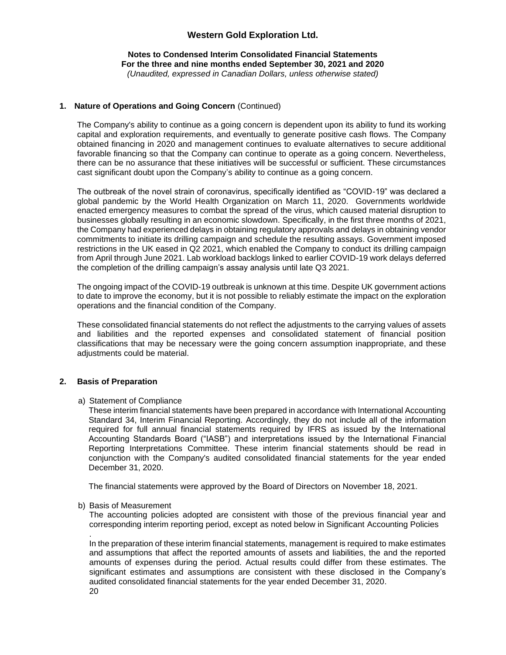#### **Notes to Condensed Interim Consolidated Financial Statements For the three and nine months ended September 30, 2021 and 2020** *(Unaudited, expressed in Canadian Dollars, unless otherwise stated)*

### **1. Nature of Operations and Going Concern** (Continued)

The Company's ability to continue as a going concern is dependent upon its ability to fund its working capital and exploration requirements, and eventually to generate positive cash flows. The Company obtained financing in 2020 and management continues to evaluate alternatives to secure additional favorable financing so that the Company can continue to operate as a going concern. Nevertheless, there can be no assurance that these initiatives will be successful or sufficient. These circumstances cast significant doubt upon the Company's ability to continue as a going concern.

The outbreak of the novel strain of coronavirus, specifically identified as "COVID-19" was declared a global pandemic by the World Health Organization on March 11, 2020. Governments worldwide enacted emergency measures to combat the spread of the virus, which caused material disruption to businesses globally resulting in an economic slowdown. Specifically, in the first three months of 2021, the Company had experienced delays in obtaining regulatory approvals and delays in obtaining vendor commitments to initiate its drilling campaign and schedule the resulting assays. Government imposed restrictions in the UK eased in Q2 2021, which enabled the Company to conduct its drilling campaign from April through June 2021. Lab workload backlogs linked to earlier COVID-19 work delays deferred the completion of the drilling campaign's assay analysis until late Q3 2021.

The ongoing impact of the COVID-19 outbreak is unknown at this time. Despite UK government actions to date to improve the economy, but it is not possible to reliably estimate the impact on the exploration operations and the financial condition of the Company.

These consolidated financial statements do not reflect the adjustments to the carrying values of assets and liabilities and the reported expenses and consolidated statement of financial position classifications that may be necessary were the going concern assumption inappropriate, and these adjustments could be material.

### **2. Basis of Preparation**

### a) Statement of Compliance

These interim financial statements have been prepared in accordance with International Accounting Standard 34, Interim Financial Reporting. Accordingly, they do not include all of the information required for full annual financial statements required by IFRS as issued by the International Accounting Standards Board ("IASB") and interpretations issued by the International Financial Reporting Interpretations Committee. These interim financial statements should be read in conjunction with the Company's audited consolidated financial statements for the year ended December 31, 2020.

The financial statements were approved by the Board of Directors on November 18, 2021.

b) Basis of Measurement

The accounting policies adopted are consistent with those of the previous financial year and corresponding interim reporting period, except as noted below in Significant Accounting Policies

In the preparation of these interim financial statements, management is required to make estimates and assumptions that affect the reported amounts of assets and liabilities, the and the reported amounts of expenses during the period. Actual results could differ from these estimates. The significant estimates and assumptions are consistent with these disclosed in the Company's audited consolidated financial statements for the year ended December 31, 2020.

.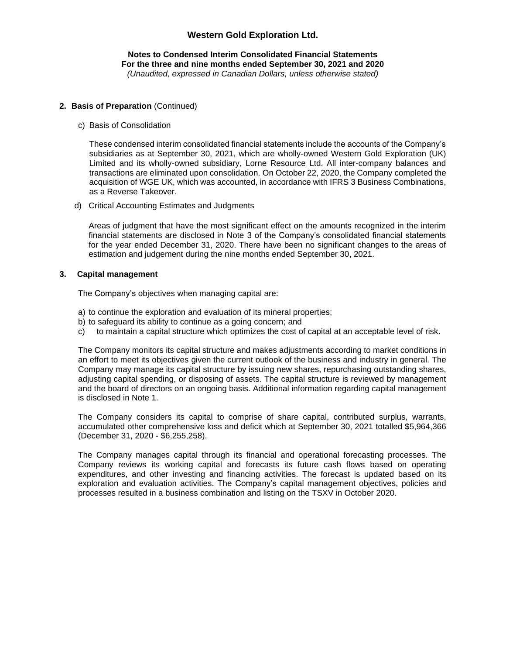#### **Notes to Condensed Interim Consolidated Financial Statements For the three and nine months ended September 30, 2021 and 2020** *(Unaudited, expressed in Canadian Dollars, unless otherwise stated)*

#### **2. Basis of Preparation** (Continued)

c) Basis of Consolidation

These condensed interim consolidated financial statements include the accounts of the Company's subsidiaries as at September 30, 2021, which are wholly-owned Western Gold Exploration (UK) Limited and its wholly-owned subsidiary, Lorne Resource Ltd. All inter-company balances and transactions are eliminated upon consolidation. On October 22, 2020, the Company completed the acquisition of WGE UK, which was accounted, in accordance with IFRS 3 Business Combinations, as a Reverse Takeover.

d) Critical Accounting Estimates and Judgments

Areas of judgment that have the most significant effect on the amounts recognized in the interim financial statements are disclosed in Note 3 of the Company's consolidated financial statements for the year ended December 31, 2020. There have been no significant changes to the areas of estimation and judgement during the nine months ended September 30, 2021.

#### **3. Capital management**

The Company's objectives when managing capital are:

- a) to continue the exploration and evaluation of its mineral properties;
- b) to safeguard its ability to continue as a going concern; and
- c) to maintain a capital structure which optimizes the cost of capital at an acceptable level of risk.

The Company monitors its capital structure and makes adjustments according to market conditions in an effort to meet its objectives given the current outlook of the business and industry in general. The Company may manage its capital structure by issuing new shares, repurchasing outstanding shares, adjusting capital spending, or disposing of assets. The capital structure is reviewed by management and the board of directors on an ongoing basis. Additional information regarding capital management is disclosed in Note 1.

The Company considers its capital to comprise of share capital, contributed surplus, warrants, accumulated other comprehensive loss and deficit which at September 30, 2021 totalled \$5,964,366 (December 31, 2020 - \$6,255,258).

The Company manages capital through its financial and operational forecasting processes. The Company reviews its working capital and forecasts its future cash flows based on operating expenditures, and other investing and financing activities. The forecast is updated based on its exploration and evaluation activities. The Company's capital management objectives, policies and processes resulted in a business combination and listing on the TSXV in October 2020.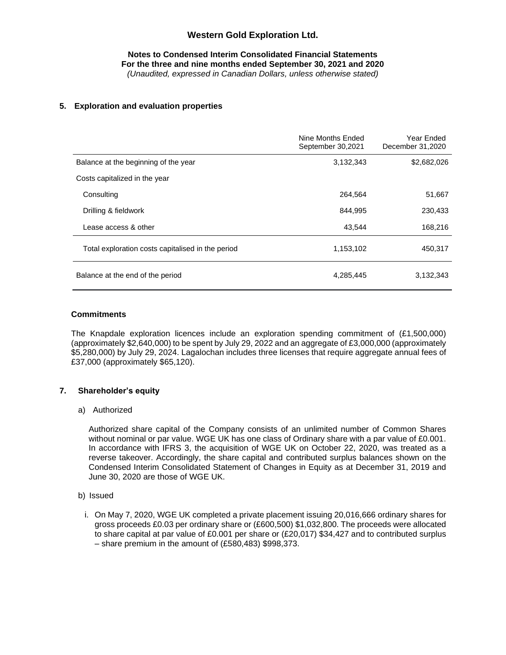**Notes to Condensed Interim Consolidated Financial Statements For the three and nine months ended September 30, 2021 and 2020** *(Unaudited, expressed in Canadian Dollars, unless otherwise stated)*

#### **5. Exploration and evaluation properties**

|                                                   | Nine Months Ended<br>September 30,2021 | Year Ended<br>December 31,2020 |
|---------------------------------------------------|----------------------------------------|--------------------------------|
| Balance at the beginning of the year              | 3,132,343                              | \$2,682,026                    |
| Costs capitalized in the year                     |                                        |                                |
| Consulting                                        | 264.564                                | 51,667                         |
| Drilling & fieldwork                              | 844.995                                | 230,433                        |
| Lease access & other                              | 43,544                                 | 168,216                        |
| Total exploration costs capitalised in the period | 1,153,102                              | 450,317                        |
| Balance at the end of the period                  | 4,285,445                              | 3,132,343                      |

#### **Commitments**

The Knapdale exploration licences include an exploration spending commitment of (£1,500,000) (approximately \$2,640,000) to be spent by July 29, 2022 and an aggregate of £3,000,000 (approximately \$5,280,000) by July 29, 2024. Lagalochan includes three licenses that require aggregate annual fees of £37,000 (approximately \$65,120).

### **7. Shareholder's equity**

#### a) Authorized

Authorized share capital of the Company consists of an unlimited number of Common Shares without nominal or par value. WGE UK has one class of Ordinary share with a par value of £0.001. In accordance with IFRS 3, the acquisition of WGE UK on October 22, 2020, was treated as a reverse takeover. Accordingly, the share capital and contributed surplus balances shown on the Condensed Interim Consolidated Statement of Changes in Equity as at December 31, 2019 and June 30, 2020 are those of WGE UK.

- b) Issued
	- i. On May 7, 2020, WGE UK completed a private placement issuing 20,016,666 ordinary shares for gross proceeds £0.03 per ordinary share or (£600,500) \$1,032,800. The proceeds were allocated to share capital at par value of £0.001 per share or (£20,017) \$34,427 and to contributed surplus – share premium in the amount of (£580,483) \$998,373.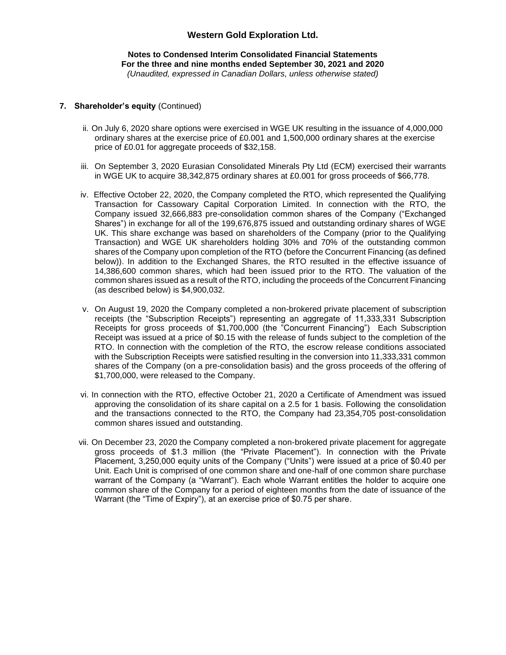#### **Notes to Condensed Interim Consolidated Financial Statements For the three and nine months ended September 30, 2021 and 2020** *(Unaudited, expressed in Canadian Dollars, unless otherwise stated)*

### **7. Shareholder's equity** (Continued)

- ii. On July 6, 2020 share options were exercised in WGE UK resulting in the issuance of 4,000,000 ordinary shares at the exercise price of £0.001 and 1,500,000 ordinary shares at the exercise price of £0.01 for aggregate proceeds of \$32,158.
- iii. On September 3, 2020 Eurasian Consolidated Minerals Pty Ltd (ECM) exercised their warrants in WGE UK to acquire 38,342,875 ordinary shares at £0.001 for gross proceeds of \$66,778.
- iv. Effective October 22, 2020, the Company completed the RTO, which represented the Qualifying Transaction for Cassowary Capital Corporation Limited. In connection with the RTO, the Company issued 32,666,883 pre-consolidation common shares of the Company ("Exchanged Shares") in exchange for all of the 199,676,875 issued and outstanding ordinary shares of WGE UK. This share exchange was based on shareholders of the Company (prior to the Qualifying Transaction) and WGE UK shareholders holding 30% and 70% of the outstanding common shares of the Company upon completion of the RTO (before the Concurrent Financing (as defined below)). In addition to the Exchanged Shares, the RTO resulted in the effective issuance of 14,386,600 common shares, which had been issued prior to the RTO. The valuation of the common shares issued as a result of the RTO, including the proceeds of the Concurrent Financing (as described below) is \$4,900,032.
- v. On August 19, 2020 the Company completed a non-brokered private placement of subscription receipts (the "Subscription Receipts") representing an aggregate of 11,333,331 Subscription Receipts for gross proceeds of \$1,700,000 (the "Concurrent Financing") Each Subscription Receipt was issued at a price of \$0.15 with the release of funds subject to the completion of the RTO. In connection with the completion of the RTO, the escrow release conditions associated with the Subscription Receipts were satisfied resulting in the conversion into 11,333,331 common shares of the Company (on a pre-consolidation basis) and the gross proceeds of the offering of \$1,700,000, were released to the Company.
- vi. In connection with the RTO, effective October 21, 2020 a Certificate of Amendment was issued approving the consolidation of its share capital on a 2.5 for 1 basis. Following the consolidation and the transactions connected to the RTO, the Company had 23,354,705 post-consolidation common shares issued and outstanding.
- vii. On December 23, 2020 the Company completed a non-brokered private placement for aggregate gross proceeds of \$1.3 million (the "Private Placement"). In connection with the Private Placement, 3,250,000 equity units of the Company ("Units") were issued at a price of \$0.40 per Unit. Each Unit is comprised of one common share and one-half of one common share purchase warrant of the Company (a "Warrant"). Each whole Warrant entitles the holder to acquire one common share of the Company for a period of eighteen months from the date of issuance of the Warrant (the "Time of Expiry"), at an exercise price of \$0.75 per share.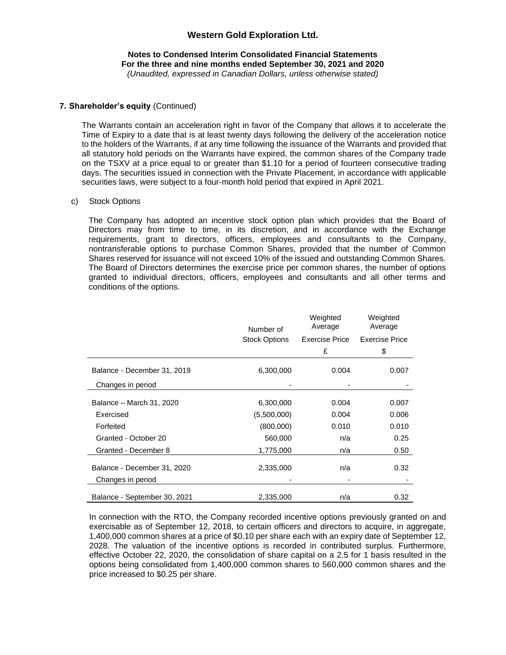#### **Notes to Condensed Interim Consolidated Financial Statements For the three and nine months ended September 30, 2021 and 2020** *(Unaudited, expressed in Canadian Dollars, unless otherwise stated)*

#### **7. Shareholder's equity** (Continued)

The Warrants contain an acceleration right in favor of the Company that allows it to accelerate the Time of Expiry to a date that is at least twenty days following the delivery of the acceleration notice to the holders of the Warrants, if at any time following the issuance of the Warrants and provided that all statutory hold periods on the Warrants have expired, the common shares of the Company trade on the TSXV at a price equal to or greater than \$1.10 for a period of fourteen consecutive trading days. The securities issued in connection with the Private Placement, in accordance with applicable securities laws, were subject to a four-month hold period that expired in April 2021.

#### c) Stock Options

The Company has adopted an incentive stock option plan which provides that the Board of Directors may from time to time, in its discretion, and in accordance with the Exchange requirements, grant to directors, officers, employees and consultants to the Company, nontransferable options to purchase Common Shares, provided that the number of Common Shares reserved for issuance will not exceed 10% of the issued and outstanding Common Shares. The Board of Directors determines the exercise price per common shares, the number of options granted to individual directors, officers, employees and consultants and all other terms and conditions of the options.

|                              | Number of            |                | Weighted<br>Average   |
|------------------------------|----------------------|----------------|-----------------------|
|                              | <b>Stock Options</b> | Exercise Price | <b>Exercise Price</b> |
|                              |                      | £              | \$                    |
| Balance - December 31, 2019  | 6,300,000            | 0.004          | 0.007                 |
| Changes in period            |                      |                |                       |
| Balance - March 31, 2020     | 6,300,000            | 0.004          | 0.007                 |
| Exercised                    | (5,500,000)          | 0.004          | 0.006                 |
| Forfeited                    | (800,000)            | 0.010          | 0.010                 |
| Granted - October 20         | 560,000              | n/a            | 0.25                  |
| Granted - December 8         | 1,775,000            | n/a            | 0.50                  |
| Balance - December 31, 2020  | 2,335,000            | n/a            | 0.32                  |
| Changes in period            |                      |                |                       |
| Balance - September 30, 2021 | 2,335,000            | n/a            | 0.32                  |

In connection with the RTO, the Company recorded incentive options previously granted on and exercisable as of September 12, 2018, to certain officers and directors to acquire, in aggregate, 1,400,000 common shares at a price of \$0.10 per share each with an expiry date of September 12, 2028. The valuation of the incentive options is recorded in contributed surplus. Furthermore, effective October 22, 2020, the consolidation of share capital on a 2.5 for 1 basis resulted in the options being consolidated from 1,400,000 common shares to 560,000 common shares and the price increased to \$0.25 per share.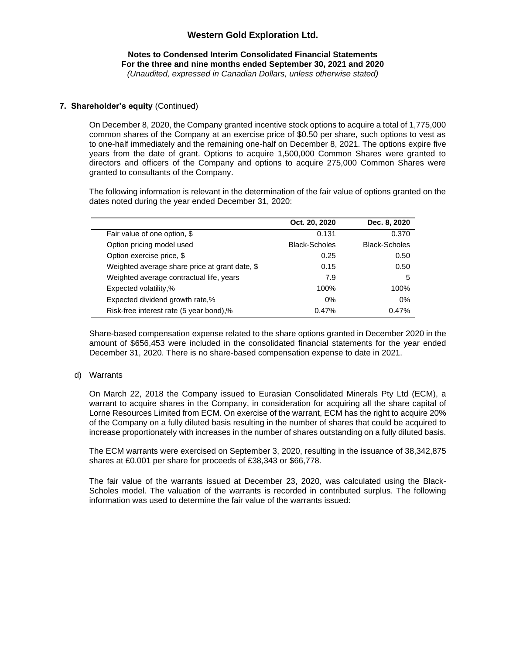#### **Notes to Condensed Interim Consolidated Financial Statements For the three and nine months ended September 30, 2021 and 2020** *(Unaudited, expressed in Canadian Dollars, unless otherwise stated)*

### **7. Shareholder's equity** (Continued)

On December 8, 2020, the Company granted incentive stock options to acquire a total of 1,775,000 common shares of the Company at an exercise price of \$0.50 per share, such options to vest as to one-half immediately and the remaining one-half on December 8, 2021. The options expire five years from the date of grant. Options to acquire 1,500,000 Common Shares were granted to directors and officers of the Company and options to acquire 275,000 Common Shares were granted to consultants of the Company.

The following information is relevant in the determination of the fair value of options granted on the dates noted during the year ended December 31, 2020:

|                                                | Oct. 20, 2020        | Dec. 8, 2020         |
|------------------------------------------------|----------------------|----------------------|
| Fair value of one option, \$                   | 0.131                | 0.370                |
| Option pricing model used                      | <b>Black-Scholes</b> | <b>Black-Scholes</b> |
| Option exercise price, \$                      | 0.25                 | 0.50                 |
| Weighted average share price at grant date, \$ | 0.15                 | 0.50                 |
| Weighted average contractual life, years       | 7.9                  | 5                    |
| Expected volatility,%                          | 100%                 | 100%                 |
| Expected dividend growth rate,%                | $0\%$                | $0\%$                |
| Risk-free interest rate (5 year bond),%        | 0.47%                | 0.47%                |

Share-based compensation expense related to the share options granted in December 2020 in the amount of \$656,453 were included in the consolidated financial statements for the year ended December 31, 2020. There is no share-based compensation expense to date in 2021.

### d) Warrants

On March 22, 2018 the Company issued to Eurasian Consolidated Minerals Pty Ltd (ECM), a warrant to acquire shares in the Company, in consideration for acquiring all the share capital of Lorne Resources Limited from ECM. On exercise of the warrant, ECM has the right to acquire 20% of the Company on a fully diluted basis resulting in the number of shares that could be acquired to increase proportionately with increases in the number of shares outstanding on a fully diluted basis.

The ECM warrants were exercised on September 3, 2020, resulting in the issuance of 38,342,875 shares at £0.001 per share for proceeds of £38,343 or \$66,778.

The fair value of the warrants issued at December 23, 2020, was calculated using the Black-Scholes model. The valuation of the warrants is recorded in contributed surplus. The following information was used to determine the fair value of the warrants issued: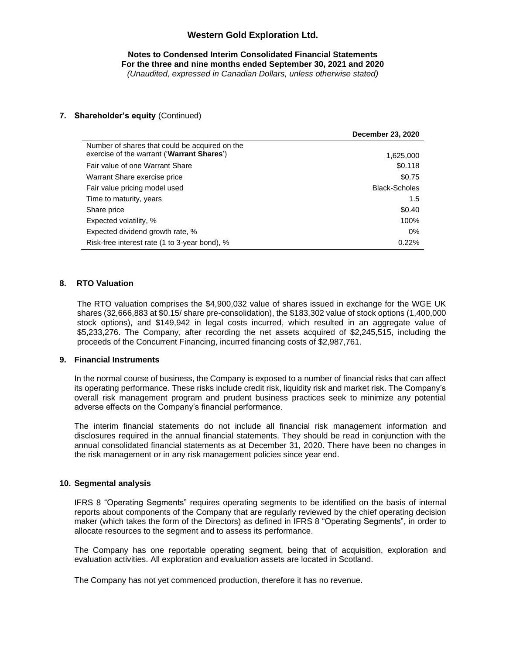**Notes to Condensed Interim Consolidated Financial Statements For the three and nine months ended September 30, 2021 and 2020** *(Unaudited, expressed in Canadian Dollars, unless otherwise stated)*

### **7. Shareholder's equity** (Continued)

|                                                                                              | December 23, 2020    |
|----------------------------------------------------------------------------------------------|----------------------|
| Number of shares that could be acquired on the<br>exercise of the warrant ('Warrant Shares') | 1,625,000            |
| Fair value of one Warrant Share                                                              | \$0.118              |
| Warrant Share exercise price                                                                 | \$0.75               |
| Fair value pricing model used                                                                | <b>Black-Scholes</b> |
| Time to maturity, years                                                                      | 1.5                  |
| Share price                                                                                  | \$0.40               |
| Expected volatility, %                                                                       | 100%                 |
| Expected dividend growth rate, %                                                             | $0\%$                |
| Risk-free interest rate (1 to 3-year bond), %                                                | 0.22%                |

### **8. RTO Valuation**

The RTO valuation comprises the \$4,900,032 value of shares issued in exchange for the WGE UK shares (32,666,883 at \$0.15/ share pre-consolidation), the \$183,302 value of stock options (1,400,000 stock options), and \$149,942 in legal costs incurred, which resulted in an aggregate value of \$5,233,276. The Company, after recording the net assets acquired of \$2,245,515, including the proceeds of the Concurrent Financing, incurred financing costs of \$2,987,761.

### **9. Financial Instruments**

In the normal course of business, the Company is exposed to a number of financial risks that can affect its operating performance. These risks include credit risk, liquidity risk and market risk. The Company's overall risk management program and prudent business practices seek to minimize any potential adverse effects on the Company's financial performance.

The interim financial statements do not include all financial risk management information and disclosures required in the annual financial statements. They should be read in conjunction with the annual consolidated financial statements as at December 31, 2020. There have been no changes in the risk management or in any risk management policies since year end.

### **10. Segmental analysis**

IFRS 8 "Operating Segments" requires operating segments to be identified on the basis of internal reports about components of the Company that are regularly reviewed by the chief operating decision maker (which takes the form of the Directors) as defined in IFRS 8 "Operating Segments", in order to allocate resources to the segment and to assess its performance.

The Company has one reportable operating segment, being that of acquisition, exploration and evaluation activities. All exploration and evaluation assets are located in Scotland.

The Company has not yet commenced production, therefore it has no revenue.